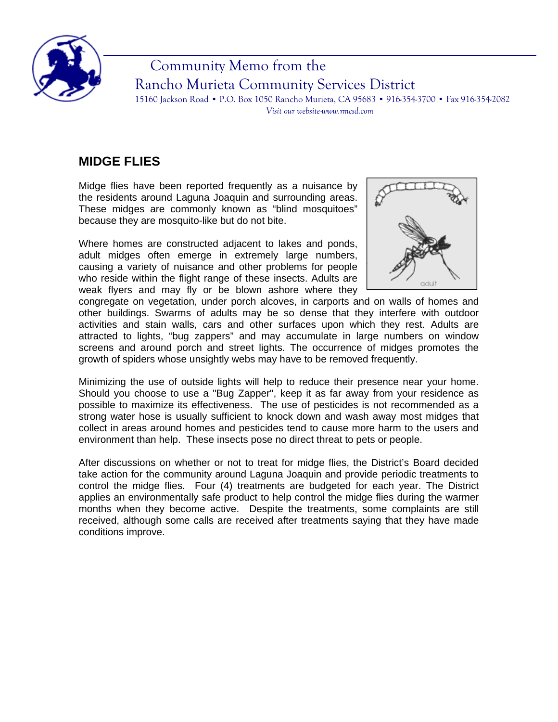

## Community Memo from the Rancho Murieta Community Services District

15160 Jackson Road • P.O. Box 1050 Rancho Murieta, CA 95683 • 916-354-3700 • Fax 916-354-2082 *Visit our website-www.rmcsd.com* 

## **MIDGE FLIES**

Midge flies have been reported frequently as a nuisance by the residents around Laguna Joaquin and surrounding areas. These midges are commonly known as "blind mosquitoes" because they are mosquito-like but do not bite.

Where homes are constructed adjacent to lakes and ponds, adult midges often emerge in extremely large numbers, causing a variety of nuisance and other problems for people who reside within the flight range of these insects. Adults are weak flyers and may fly or be blown ashore where they



congregate on vegetation, under porch alcoves, in carports and on walls of homes and other buildings. Swarms of adults may be so dense that they interfere with outdoor activities and stain walls, cars and other surfaces upon which they rest. Adults are attracted to lights, "bug zappers" and may accumulate in large numbers on window screens and around porch and street lights. The occurrence of midges promotes the growth of spiders whose unsightly webs may have to be removed frequently.

Minimizing the use of outside lights will help to reduce their presence near your home. Should you choose to use a "Bug Zapper", keep it as far away from your residence as possible to maximize its effectiveness. The use of pesticides is not recommended as a strong water hose is usually sufficient to knock down and wash away most midges that collect in areas around homes and pesticides tend to cause more harm to the users and environment than help. These insects pose no direct threat to pets or people.

After discussions on whether or not to treat for midge flies, the District's Board decided take action for the community around Laguna Joaquin and provide periodic treatments to control the midge flies. Four (4) treatments are budgeted for each year. The District applies an environmentally safe product to help control the midge flies during the warmer months when they become active. Despite the treatments, some complaints are still received, although some calls are received after treatments saying that they have made conditions improve.